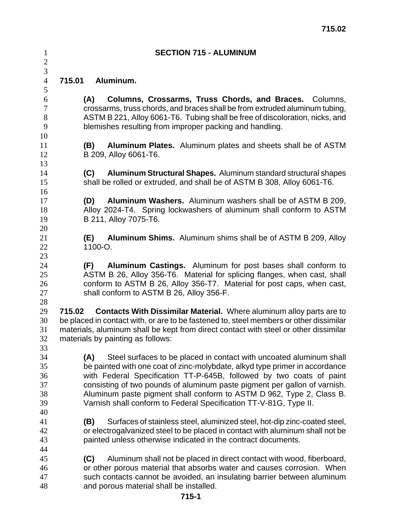| $\mathbf{1}$<br>$\mathbf{2}$           |        | <b>SECTION 715 - ALUMINUM</b>                                                                                                                                                                                                                                                                                                                                                                                                                               |
|----------------------------------------|--------|-------------------------------------------------------------------------------------------------------------------------------------------------------------------------------------------------------------------------------------------------------------------------------------------------------------------------------------------------------------------------------------------------------------------------------------------------------------|
| 3<br>$\overline{4}$                    | 715.01 | Aluminum.                                                                                                                                                                                                                                                                                                                                                                                                                                                   |
| 5<br>6<br>$\tau$<br>$8\,$<br>9         |        | Columns, Crossarms, Truss Chords, and Braces. Columns,<br>(A)<br>crossarms, truss chords, and braces shall be from extruded aluminum tubing,<br>ASTM B 221, Alloy 6061-T6. Tubing shall be free of discoloration, nicks, and<br>blemishes resulting from improper packing and handling.                                                                                                                                                                     |
| 10<br>11<br>12<br>13                   |        | (B)<br>Aluminum Plates. Aluminum plates and sheets shall be of ASTM<br>B 209, Alloy 6061-T6.                                                                                                                                                                                                                                                                                                                                                                |
| 14<br>15<br>16                         |        | Aluminum Structural Shapes. Aluminum standard structural shapes<br>(C)<br>shall be rolled or extruded, and shall be of ASTM B 308, Alloy 6061-T6.                                                                                                                                                                                                                                                                                                           |
| 17<br>18<br>19<br>20                   |        | (D)<br>Aluminum Washers. Aluminum washers shall be of ASTM B 209,<br>Alloy 2024-T4. Spring lockwashers of aluminum shall conform to ASTM<br>B 211, Alloy 7075-T6.                                                                                                                                                                                                                                                                                           |
| 21<br>22<br>23                         |        | <b>Aluminum Shims.</b> Aluminum shims shall be of ASTM B 209, Alloy<br>(E)<br>1100-O.                                                                                                                                                                                                                                                                                                                                                                       |
| 24<br>25<br>26<br>27<br>28             |        | (F) Aluminum Castings. Aluminum for post bases shall conform to<br>ASTM B 26, Alloy 356-T6. Material for splicing flanges, when cast, shall<br>conform to ASTM B 26, Alloy 356-T7. Material for post caps, when cast,<br>shall conform to ASTM B 26, Alloy 356-F.                                                                                                                                                                                           |
| 29<br>30<br>31<br>32<br>33             | 715.02 | <b>Contacts With Dissimilar Material.</b> Where aluminum alloy parts are to<br>be placed in contact with, or are to be fastened to, steel members or other dissimilar<br>materials, aluminum shall be kept from direct contact with steel or other dissimilar<br>materials by painting as follows:                                                                                                                                                          |
| 34<br>35<br>36<br>37<br>38<br>39<br>40 |        | Steel surfaces to be placed in contact with uncoated aluminum shall<br>(A)<br>be painted with one coat of zinc-molybdate, alkyd type primer in accordance<br>with Federal Specification TT-P-645B, followed by two coats of paint<br>consisting of two pounds of aluminum paste pigment per gallon of varnish.<br>Aluminum paste pigment shall conform to ASTM D 962, Type 2, Class B.<br>Varnish shall conform to Federal Specification TT-V-81G, Type II. |
| 41<br>42<br>43                         |        | Surfaces of stainless steel, aluminized steel, hot-dip zinc-coated steel,<br>(B)<br>or electrogalvanized steel to be placed in contact with aluminum shall not be<br>painted unless otherwise indicated in the contract documents.                                                                                                                                                                                                                          |
| 44<br>45<br>46<br>47<br>48             |        | Aluminum shall not be placed in direct contact with wood, fiberboard,<br>(C)<br>or other porous material that absorbs water and causes corrosion. When<br>such contacts cannot be avoided, an insulating barrier between aluminum<br>and porous material shall be installed.                                                                                                                                                                                |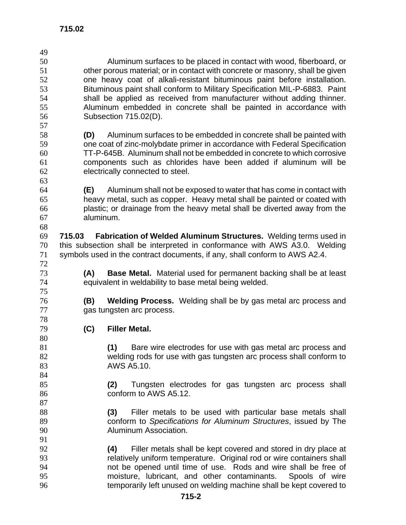| Aluminum surfaces to be placed in contact with wood, fiberboard, or                    |  |  |  |  |  |
|----------------------------------------------------------------------------------------|--|--|--|--|--|
| other porous material; or in contact with concrete or masonry, shall be given          |  |  |  |  |  |
| one heavy coat of alkali-resistant bituminous paint before installation.               |  |  |  |  |  |
| Bituminous paint shall conform to Military Specification MIL-P-6883. Paint             |  |  |  |  |  |
| shall be applied as received from manufacturer without adding thinner.                 |  |  |  |  |  |
| Aluminum embedded in concrete shall be painted in accordance with                      |  |  |  |  |  |
| Subsection 715.02(D).                                                                  |  |  |  |  |  |
|                                                                                        |  |  |  |  |  |
| Aluminum surfaces to be embedded in concrete shall be painted with<br>(D)              |  |  |  |  |  |
| one coat of zinc-molybdate primer in accordance with Federal Specification             |  |  |  |  |  |
| TT-P-645B. Aluminum shall not be embedded in concrete to which corrosive               |  |  |  |  |  |
| components such as chlorides have been added if aluminum will be                       |  |  |  |  |  |
| electrically connected to steel.                                                       |  |  |  |  |  |
|                                                                                        |  |  |  |  |  |
| (E)                                                                                    |  |  |  |  |  |
| Aluminum shall not be exposed to water that has come in contact with                   |  |  |  |  |  |
| heavy metal, such as copper. Heavy metal shall be painted or coated with               |  |  |  |  |  |
| plastic; or drainage from the heavy metal shall be diverted away from the<br>aluminum. |  |  |  |  |  |
|                                                                                        |  |  |  |  |  |
|                                                                                        |  |  |  |  |  |
| Fabrication of Welded Aluminum Structures. Welding terms used in<br>715.03             |  |  |  |  |  |
| this subsection shall be interpreted in conformance with AWS A3.0. Welding             |  |  |  |  |  |
| symbols used in the contract documents, if any, shall conform to AWS A2.4.             |  |  |  |  |  |
|                                                                                        |  |  |  |  |  |
| (A)<br><b>Base Metal.</b> Material used for permanent backing shall be at least        |  |  |  |  |  |
| equivalent in weldability to base metal being welded.                                  |  |  |  |  |  |
|                                                                                        |  |  |  |  |  |
| (B)<br><b>Welding Process.</b> Welding shall be by gas metal arc process and           |  |  |  |  |  |
| gas tungsten arc process.                                                              |  |  |  |  |  |
|                                                                                        |  |  |  |  |  |
| (C)<br><b>Filler Metal.</b>                                                            |  |  |  |  |  |
|                                                                                        |  |  |  |  |  |
| (1)<br>Bare wire electrodes for use with gas metal arc process and                     |  |  |  |  |  |
| welding rods for use with gas tungsten arc process shall conform to                    |  |  |  |  |  |
| AWS A5.10.                                                                             |  |  |  |  |  |
|                                                                                        |  |  |  |  |  |
| Tungsten electrodes for gas tungsten arc process shall<br>(2)                          |  |  |  |  |  |
| conform to AWS A5.12.                                                                  |  |  |  |  |  |
|                                                                                        |  |  |  |  |  |
| Filler metals to be used with particular base metals shall<br>(3)                      |  |  |  |  |  |
| conform to Specifications for Aluminum Structures, issued by The                       |  |  |  |  |  |
| Aluminum Association.                                                                  |  |  |  |  |  |
|                                                                                        |  |  |  |  |  |
| Filler metals shall be kept covered and stored in dry place at<br>(4)                  |  |  |  |  |  |
| relatively uniform temperature. Original rod or wire containers shall                  |  |  |  |  |  |
| not be opened until time of use. Rods and wire shall be free of                        |  |  |  |  |  |
| moisture, lubricant, and other contaminants. Spools of wire                            |  |  |  |  |  |
| temporarily left unused on welding machine shall be kept covered to                    |  |  |  |  |  |
| $715 - 2$                                                                              |  |  |  |  |  |
|                                                                                        |  |  |  |  |  |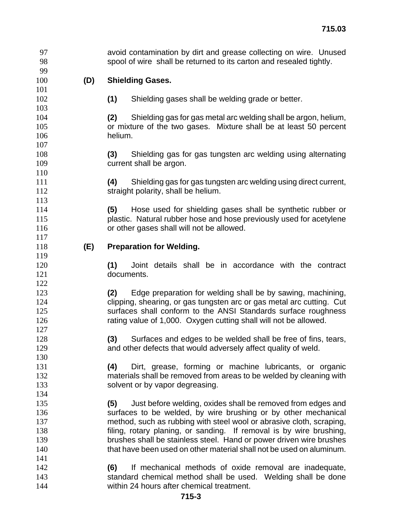avoid contamination by dirt and grease collecting on wire. Unused spool of wire shall be returned to its carton and resealed tightly. **(D) Shielding Gases. (1)** Shielding gases shall be welding grade or better. **(2)** Shielding gas for gas metal arc welding shall be argon, helium, or mixture of the two gases. Mixture shall be at least 50 percent helium. **(3)** Shielding gas for gas tungsten arc welding using alternating current shall be argon. **(4)** Shielding gas for gas tungsten arc welding using direct current, 112 straight polarity, shall be helium. **(5)** Hose used for shielding gases shall be synthetic rubber or plastic. Natural rubber hose and hose previously used for acetylene **or other gases shall will not be allowed. (E) Preparation for Welding. (1)** Joint details shall be in accordance with the contract documents. **(2)** Edge preparation for welding shall be by sawing, machining, clipping, shearing, or gas tungsten arc or gas metal arc cutting. Cut 125 surfaces shall conform to the ANSI Standards surface roughness rating value of 1,000. Oxygen cutting shall will not be allowed. **(3)** Surfaces and edges to be welded shall be free of fins, tears, and other defects that would adversely affect quality of weld. **(4)** Dirt, grease, forming or machine lubricants, or organic materials shall be removed from areas to be welded by cleaning with 133 solvent or by vapor degreasing. **(5)** Just before welding, oxides shall be removed from edges and surfaces to be welded, by wire brushing or by other mechanical method, such as rubbing with steel wool or abrasive cloth, scraping, filing, rotary planing, or sanding. If removal is by wire brushing, brushes shall be stainless steel. Hand or power driven wire brushes that have been used on other material shall not be used on aluminum. **(6)** If mechanical methods of oxide removal are inadequate, standard chemical method shall be used. Welding shall be done within 24 hours after chemical treatment.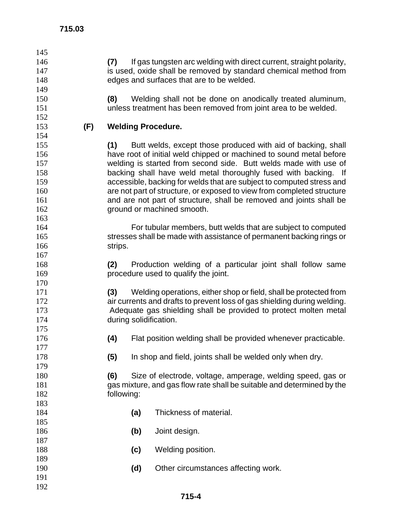| (7) |     | If gas tungsten arc welding with direct current, straight polarity,          |
|-----|-----|------------------------------------------------------------------------------|
|     |     | is used, oxide shall be removed by standard chemical method from             |
|     |     | edges and surfaces that are to be welded.                                    |
|     |     |                                                                              |
| (8) |     | Welding shall not be done on anodically treated aluminum,                    |
|     |     | unless treatment has been removed from joint area to be welded.              |
|     |     |                                                                              |
|     |     |                                                                              |
|     |     |                                                                              |
| (1) |     | Butt welds, except those produced with aid of backing, shall                 |
|     |     | have root of initial weld chipped or machined to sound metal before          |
|     |     | welding is started from second side. Butt welds made with use of             |
|     |     | backing shall have weld metal thoroughly fused with backing. If              |
|     |     | accessible, backing for welds that are subject to computed stress and        |
|     |     | are not part of structure, or exposed to view from completed structure       |
|     |     | and are not part of structure, shall be removed and joints shall be          |
|     |     | ground or machined smooth.                                                   |
|     |     |                                                                              |
|     |     | For tubular members, butt welds that are subject to computed                 |
|     |     | stresses shall be made with assistance of permanent backing rings or         |
|     |     |                                                                              |
|     |     |                                                                              |
| (2) |     | Production welding of a particular joint shall follow same                   |
|     |     | procedure used to qualify the joint.                                         |
|     |     |                                                                              |
| (3) |     | Welding operations, either shop or field, shall be protected from            |
|     |     | air currents and drafts to prevent loss of gas shielding during welding.     |
|     |     | Adequate gas shielding shall be provided to protect molten metal             |
|     |     |                                                                              |
|     |     |                                                                              |
| (4) |     | Flat position welding shall be provided whenever practicable.                |
|     |     |                                                                              |
| (5) |     | In shop and field, joints shall be welded only when dry.                     |
|     |     |                                                                              |
| (6) |     | Size of electrode, voltage, amperage, welding speed, gas or                  |
|     |     | gas mixture, and gas flow rate shall be suitable and determined by the       |
|     |     |                                                                              |
|     |     |                                                                              |
|     | (a) | Thickness of material.                                                       |
|     |     |                                                                              |
|     | (b) | Joint design.                                                                |
|     |     |                                                                              |
|     | (c) | Welding position.                                                            |
|     |     |                                                                              |
|     | (d) | Other circumstances affecting work.                                          |
|     |     |                                                                              |
|     |     |                                                                              |
| (F) |     | <b>Welding Procedure.</b><br>strips.<br>during solidification.<br>following: |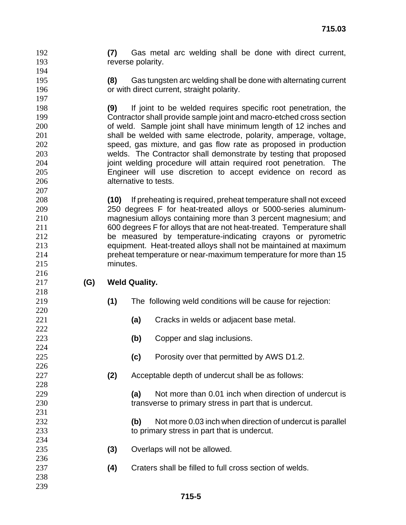**(7)** Gas metal arc welding shall be done with direct current, **reverse polarity.** 

**(8)** Gas tungsten arc welding shall be done with alternating current or with direct current, straight polarity.

**(9)** If joint to be welded requires specific root penetration, the Contractor shall provide sample joint and macro-etched cross section of weld. Sample joint shall have minimum length of 12 inches and shall be welded with same electrode, polarity, amperage, voltage, speed, gas mixture, and gas flow rate as proposed in production welds. The Contractor shall demonstrate by testing that proposed **joint welding procedure will attain required root penetration.** The Engineer will use discretion to accept evidence on record as alternative to tests.

**(10)** If preheating is required, preheat temperature shall not exceed 250 degrees F for heat-treated alloys or 5000-series aluminum-magnesium alloys containing more than 3 percent magnesium; and 600 degrees F for alloys that are not heat-treated. Temperature shall be measured by temperature-indicating crayons or pyrometric equipment. Heat-treated alloys shall not be maintained at maximum preheat temperature or near-maximum temperature for more than 15 minutes.

- **(G) Weld Quality.** 
	-
- **(1)** The following weld conditions will be cause for rejection:
- **(a)** Cracks in welds or adjacent base metal.
- **(b)** Copper and slag inclusions.
- **(c)** Porosity over that permitted by AWS D1.2.
- **(2)** Acceptable depth of undercut shall be as follows:

**(a)** Not more than 0.01 inch when direction of undercut is 230 transverse to primary stress in part that is undercut.

**(b)** Not more 0.03 inch when direction of undercut is parallel to primary stress in part that is undercut.

- **(3)** Overlaps will not be allowed.
- **(4)** Craters shall be filled to full cross section of welds.
-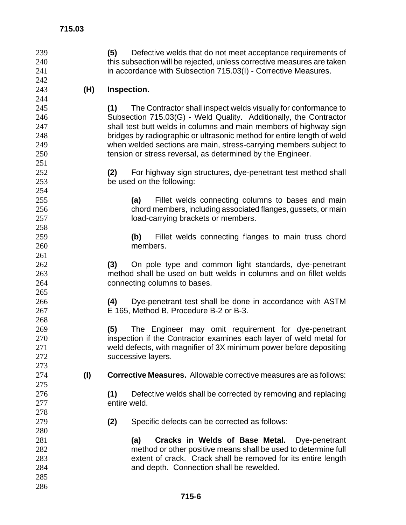| 239 |     | Defective welds that do not meet acceptance requirements of<br>(5)        |
|-----|-----|---------------------------------------------------------------------------|
| 240 |     | this subsection will be rejected, unless corrective measures are taken    |
| 241 |     | in accordance with Subsection 715.03(I) - Corrective Measures.            |
| 242 |     |                                                                           |
| 243 | (H) | Inspection.                                                               |
| 244 |     |                                                                           |
| 245 |     | The Contractor shall inspect welds visually for conformance to<br>(1)     |
| 246 |     | Subsection 715.03(G) - Weld Quality. Additionally, the Contractor         |
| 247 |     | shall test butt welds in columns and main members of highway sign         |
| 248 |     | bridges by radiographic or ultrasonic method for entire length of weld    |
| 249 |     | when welded sections are main, stress-carrying members subject to         |
| 250 |     | tension or stress reversal, as determined by the Engineer.                |
| 251 |     |                                                                           |
| 252 |     | (2)<br>For highway sign structures, dye-penetrant test method shall       |
| 253 |     | be used on the following:                                                 |
| 254 |     |                                                                           |
| 255 |     | Fillet welds connecting columns to bases and main<br>(a)                  |
| 256 |     | chord members, including associated flanges, gussets, or main             |
| 257 |     | load-carrying brackets or members.                                        |
| 258 |     |                                                                           |
| 259 |     | Fillet welds connecting flanges to main truss chord<br>(b)                |
| 260 |     | members.                                                                  |
| 261 |     |                                                                           |
| 262 |     | On pole type and common light standards, dye-penetrant<br>(3)             |
| 263 |     | method shall be used on butt welds in columns and on fillet welds         |
| 264 |     | connecting columns to bases.                                              |
| 265 |     |                                                                           |
| 266 |     | Dye-penetrant test shall be done in accordance with ASTM<br>(4)           |
| 267 |     | E 165, Method B, Procedure B-2 or B-3.                                    |
| 268 |     |                                                                           |
| 269 |     | (5)<br>The Engineer may omit requirement for dye-penetrant                |
| 270 |     | inspection if the Contractor examines each layer of weld metal for        |
| 271 |     | weld defects, with magnifier of 3X minimum power before depositing        |
| 272 |     | successive layers.                                                        |
| 273 |     |                                                                           |
| 274 | (1) | <b>Corrective Measures.</b> Allowable corrective measures are as follows: |
| 275 |     |                                                                           |
| 276 |     | Defective welds shall be corrected by removing and replacing<br>(1)       |
| 277 |     | entire weld.                                                              |
| 278 |     |                                                                           |
| 279 |     | (2)<br>Specific defects can be corrected as follows:                      |
| 280 |     |                                                                           |
| 281 |     | Cracks in Welds of Base Metal.<br>(a)<br>Dye-penetrant                    |
| 282 |     | method or other positive means shall be used to determine full            |
| 283 |     | extent of crack. Crack shall be removed for its entire length             |
| 284 |     | and depth. Connection shall be rewelded.                                  |
| 285 |     |                                                                           |
| 286 |     |                                                                           |
|     |     |                                                                           |